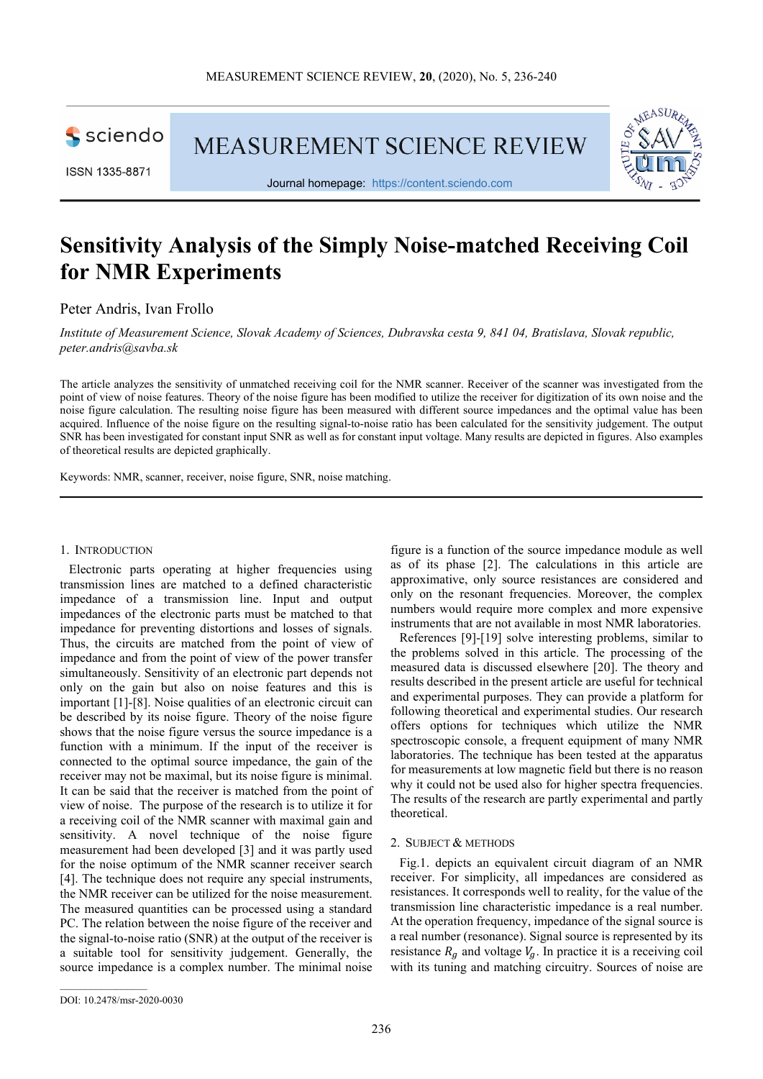

**MEASUREMENT SCIENCE REVIEW** 



Journal homepage: https://content.sciendo.com

# **Sensitivity Analysis of the Simply Noise-matched Receiving Coil for NMR Experiments**

Peter Andris, Ivan Frollo

*Institute of Measurement Science, Slovak Academy of Sciences, Dubravska cesta 9, 841 04, Bratislava, Slovak republic, peter.andris@savba.sk* 

The article analyzes the sensitivity of unmatched receiving coil for the NMR scanner. Receiver of the scanner was investigated from the point of view of noise features. Theory of the noise figure has been modified to utilize the receiver for digitization of its own noise and the noise figure calculation. The resulting noise figure has been measured with different source impedances and the optimal value has been acquired. Influence of the noise figure on the resulting signal-to-noise ratio has been calculated for the sensitivity judgement. The output SNR has been investigated for constant input SNR as well as for constant input voltage. Many results are depicted in figures. Also examples of theoretical results are depicted graphically.

Keywords: NMR, scanner, receiver, noise figure, SNR, noise matching.

#### 1. INTRODUCTION

Electronic parts operating at higher frequencies using transmission lines are matched to a defined characteristic impedance of a transmission line. Input and output impedances of the electronic parts must be matched to that impedance for preventing distortions and losses of signals. Thus, the circuits are matched from the point of view of impedance and from the point of view of the power transfer simultaneously. Sensitivity of an electronic part depends not only on the gain but also on noise features and this is important [1]-[8]. Noise qualities of an electronic circuit can be described by its noise figure. Theory of the noise figure shows that the noise figure versus the source impedance is a function with a minimum. If the input of the receiver is connected to the optimal source impedance, the gain of the receiver may not be maximal, but its noise figure is minimal. It can be said that the receiver is matched from the point of view of noise. The purpose of the research is to utilize it for a receiving coil of the NMR scanner with maximal gain and sensitivity. A novel technique of the noise figure measurement had been developed [3] and it was partly used for the noise optimum of the NMR scanner receiver search [4]. The technique does not require any special instruments, the NMR receiver can be utilized for the noise measurement. The measured quantities can be processed using a standard PC. The relation between the noise figure of the receiver and the signal-to-noise ratio (SNR) at the output of the receiver is a suitable tool for sensitivity judgement. Generally, the source impedance is a complex number. The minimal noise

figure is a function of the source impedance module as well as of its phase [2]. The calculations in this article are approximative, only source resistances are considered and only on the resonant frequencies. Moreover, the complex numbers would require more complex and more expensive instruments that are not available in most NMR laboratories.

References [9]-[19] solve interesting problems, similar to the problems solved in this article. The processing of the measured data is discussed elsewhere [20]. The theory and results described in the present article are useful for technical and experimental purposes. They can provide a platform for following theoretical and experimental studies. Our research offers options for techniques which utilize the NMR spectroscopic console, a frequent equipment of many NMR laboratories. The technique has been tested at the apparatus for measurements at low magnetic field but there is no reason why it could not be used also for higher spectra frequencies. The results of the research are partly experimental and partly theoretical.

## 2. SUBJECT & METHODS

Fig.1. depicts an equivalent circuit diagram of an NMR receiver. For simplicity, all impedances are considered as resistances. It corresponds well to reality, for the value of the transmission line characteristic impedance is a real number. At the operation frequency, impedance of the signal source is a real number (resonance). Signal source is represented by its resistance  $R_g$  and voltage  $V_g$ . In practice it is a receiving coil with its tuning and matching circuitry. Sources of noise are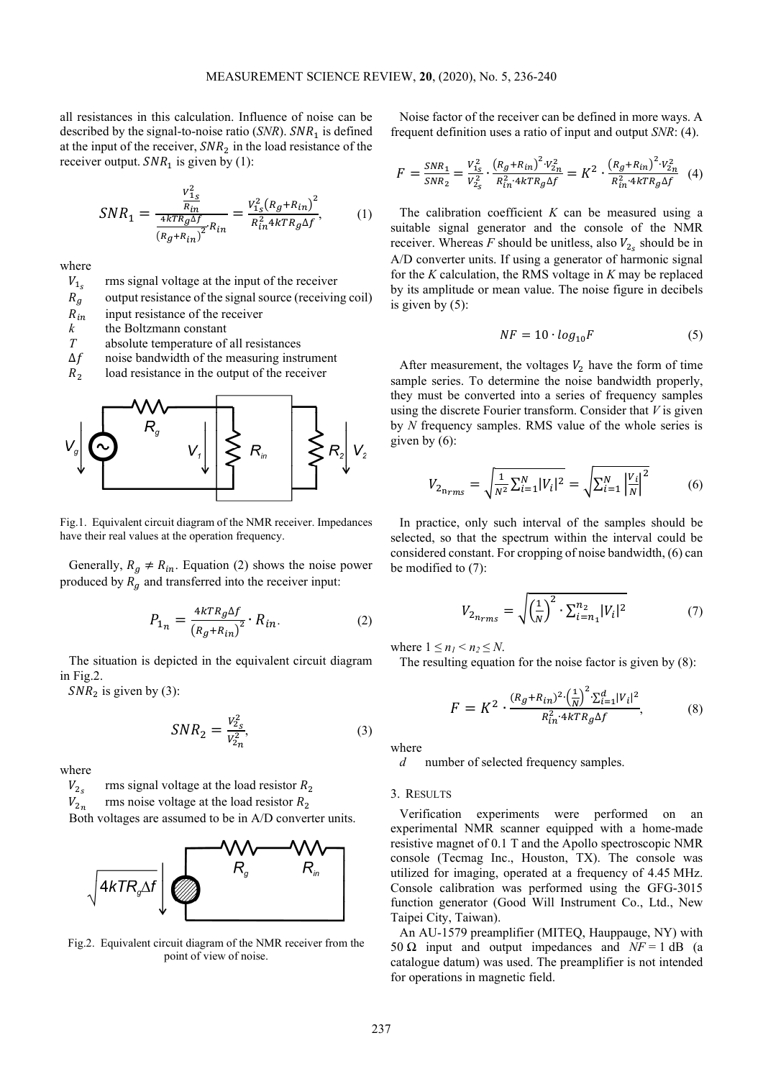all resistances in this calculation. Influence of noise can be described by the signal-to-noise ratio  $(SNR)$ .  $SNR_1$  is defined at the input of the receiver,  $SNR_2$  in the load resistance of the receiver output.  $SNR_1$  is given by (1):

$$
SNR_1 = \frac{\frac{V_{1_S}^2}{R_{in}}}{\frac{4kTR_g\Delta f}{(R_g + R_{in})^2}R_{in}} = \frac{V_{1_S}^2(R_g + R_{in})^2}{R_{in}^2 4kTR_g\Delta f},
$$
(1)

where

 $V_{1}$ rms signal voltage at the input of the receiver

 $\begin{array}{c} R_g \\ R_{in} \end{array}$ output resistance of the signal source (receiving coil)

 $R_{in}$  input resistance of the receiver<br>  $k$  the Boltzmann constant

*k* the Boltzmann constant<br>*T* absolute temperature of

absolute temperature of all resistances

 $\Delta f$  noise bandwidth of the measuring instrument

 $R_2$ load resistance in the output of the receiver



Fig.1. Equivalent circuit diagram of the NMR receiver. Impedances have their real values at the operation frequency.

Generally,  $R_g \neq R_{in}$ . Equation (2) shows the noise power produced by  $R_g$  and transferred into the receiver input:

$$
P_{1n} = \frac{4kTR_g\Delta f}{\left(R_g + R_{in}\right)^2} \cdot R_{in}.\tag{2}
$$

The situation is depicted in the equivalent circuit diagram in Fig.2.

 $SNR_2$  is given by (3):

$$
SNR_2 = \frac{V_{2s}^2}{V_{2n}^2},\tag{3}
$$

where

 $V_{2c}$ rms signal voltage at the load resistor  $R_2$ 

 $V_{\sqrt{2}n}$ rms noise voltage at the load resistor  $R_2$ 

Both voltages are assumed to be in A/D converter units.



Fig.2. Equivalent circuit diagram of the NMR receiver from the point of view of noise.

Noise factor of the receiver can be defined in more ways. A frequent definition uses a ratio of input and output *SNR*: (4).

$$
F = \frac{SNR_1}{SNR_2} = \frac{V_{1_S}^2}{V_{2_S}^2} \cdot \frac{\left(R_g + R_{in}\right)^2 \cdot V_{2n}^2}{R_{in}^2 \cdot 4kTR_g \Delta f} = K^2 \cdot \frac{\left(R_g + R_{in}\right)^2 \cdot V_{2n}^2}{R_{in}^2 \cdot 4kTR_g \Delta f} \tag{4}
$$

The calibration coefficient *K* can be measured using a suitable signal generator and the console of the NMR receiver. Whereas  $F$  should be unitless, also  $V_{2<sub>s</sub>}$  should be in A/D converter units. If using a generator of harmonic signal for the *K* calculation, the RMS voltage in *K* may be replaced by its amplitude or mean value. The noise figure in decibels is given by (5):

$$
NF = 10 \cdot log_{10}F \tag{5}
$$

After measurement, the voltages  $V_2$  have the form of time sample series. To determine the noise bandwidth properly, they must be converted into a series of frequency samples using the discrete Fourier transform. Consider that *V* is given by *N* frequency samples. RMS value of the whole series is given by (6):

$$
V_{2_{n_{rms}}} = \sqrt{\frac{1}{N^2} \sum_{i=1}^{N} |V_i|^2} = \sqrt{\sum_{i=1}^{N} \left| \frac{V_i}{N} \right|^2}
$$
(6)

In practice, only such interval of the samples should be selected, so that the spectrum within the interval could be considered constant. For cropping of noise bandwidth, (6) can be modified to (7):

$$
V_{2n_{rms}} = \sqrt{\left(\frac{1}{N}\right)^2 \cdot \sum_{i=n_1}^{n_2} |V_i|^2}
$$
 (7)

where  $1 \leq n_1 \leq n_2 \leq N$ .

The resulting equation for the noise factor is given by (8):

$$
F = K^2 \cdot \frac{(R_g + R_{in})^2 \cdot \left(\frac{1}{N}\right)^2 \cdot \sum_{i=1}^d |V_i|^2}{R_{in}^2 \cdot 4kTR_g\Delta f},
$$
 (8)

where

*d* number of selected frequency samples.

### 3. RESULTS

Verification experiments were performed on an experimental NMR scanner equipped with a home-made resistive magnet of 0.1 T and the Apollo spectroscopic NMR console (Tecmag Inc., Houston, TX). The console was utilized for imaging, operated at a frequency of 4.45 MHz. Console calibration was performed using the GFG-3015 function generator (Good Will Instrument Co., Ltd., New Taipei City, Taiwan).

An AU-1579 preamplifier (MITEQ, Hauppauge, NY) with 50  $\Omega$  input and output impedances and  $NF = 1$  dB (a catalogue datum) was used. The preamplifier is not intended for operations in magnetic field.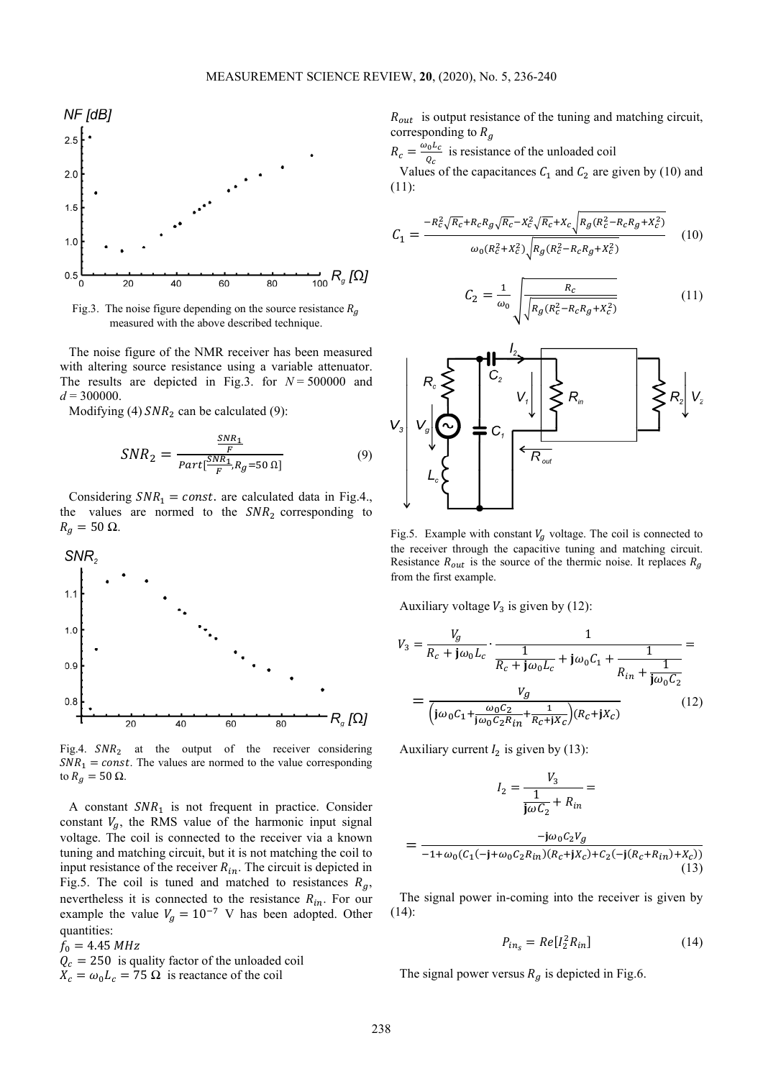

Fig.3. The noise figure depending on the source resistance  $R_a$ measured with the above described technique.

The noise figure of the NMR receiver has been measured with altering source resistance using a variable attenuator. The results are depicted in Fig.3. for  $N = 500000$  and  $d = 300000$ .

Modifying (4)  $SNR_2$  can be calculated (9):

$$
SNR_2 = \frac{\frac{SNR_1}{F}}{Part[\frac{SNR_1}{F}, R_g = 50 \Omega]}
$$
(9)

Considering  $SNR_1 = const.$  are calculated data in Fig.4., the values are normed to the  $SNR_2$  corresponding to  $R_g = 50 \Omega$ .



Fig.4.  $SNR_2$  at the output of the receiver considering  $SNR_1 = const.$  The values are normed to the value corresponding to  $R_g = 50 \Omega$ .

A constant  $SNR_1$  is not frequent in practice. Consider constant  $V_g$ , the RMS value of the harmonic input signal voltage. The coil is connected to the receiver via a known tuning and matching circuit, but it is not matching the coil to input resistance of the receiver  $R_{in}$ . The circuit is depicted in Fig.5. The coil is tuned and matched to resistances  $R_g$ , nevertheless it is connected to the resistance  $R_{in}$ . For our example the value  $V_g = 10^{-7}$  V has been adopted. Other quantities:

 $f_0 = 4.45 MHz$ 

 $Q_c = 250$  is quality factor of the unloaded coil

$$
X_c = \omega_0 L_c = 75 \Omega
$$
 is reactance of the coil

 $R_{out}$  is output resistance of the tuning and matching circuit, corresponding to  $R_g$ 

 $R_c = \frac{\omega_0 L_c}{Q_c}$  $\frac{\partial u}{\partial c}$  is resistance of the unloaded coil

Values of the capacitances  $C_1$  and  $C_2$  are given by (10) and (11):

$$
C_1 = \frac{-R_c^2 \sqrt{R_c} + R_c R_g \sqrt{R_c} - X_c^2 \sqrt{R_c} + X_c \sqrt{R_g (R_c^2 - R_c R_g + X_c^2)}}{\omega_0 (R_c^2 + X_c^2) \sqrt{R_g (R_c^2 - R_c R_g + X_c^2)}}
$$
(10)

$$
C_2 = \frac{1}{\omega_0} \sqrt{\frac{R_c}{R_g (R_c^2 - R_c R_g + X_c^2)}}
$$
(11)



Fig.5. Example with constant  $V_g$  voltage. The coil is connected to the receiver through the capacitive tuning and matching circuit. Resistance  $R_{out}$  is the source of the thermic noise. It replaces  $R_g$ from the first example.

Auxiliary voltage  $V_3$  is given by (12):

$$
V_3 = \frac{V_g}{R_c + j\omega_0 L_c} \cdot \frac{1}{\frac{1}{R_c + j\omega_0 L_c} + j\omega_0 C_1 + \frac{1}{R_{in} + \frac{1}{j\omega_0 C_2}}} = \frac{V_g}{(j\omega_0 C_1 + \frac{\omega_0 C_2}{j\omega_0 C_2 R_{in} + \frac{1}{R_c + jX_c})(R_c + jX_c)}
$$
(12)

Auxiliary current  $I_2$  is given by (13):

$$
I_2 = \frac{V_3}{\frac{1}{j\omega C_2} + R_{in}} =
$$
  
= 
$$
\frac{-j\omega_0 C_2 V_g}{-1 + \omega_0 (C_1(-j + \omega_0 C_2 R_{in}) (R_c + jX_c) + C_2(-j(R_c + R_{in}) + X_c))}
$$

The signal power in-coming into the receiver is given by (14):

$$
P_{in_s} = Re[I_2^2 R_{in}] \tag{14}
$$

(13)

The signal power versus  $R_g$  is depicted in Fig.6.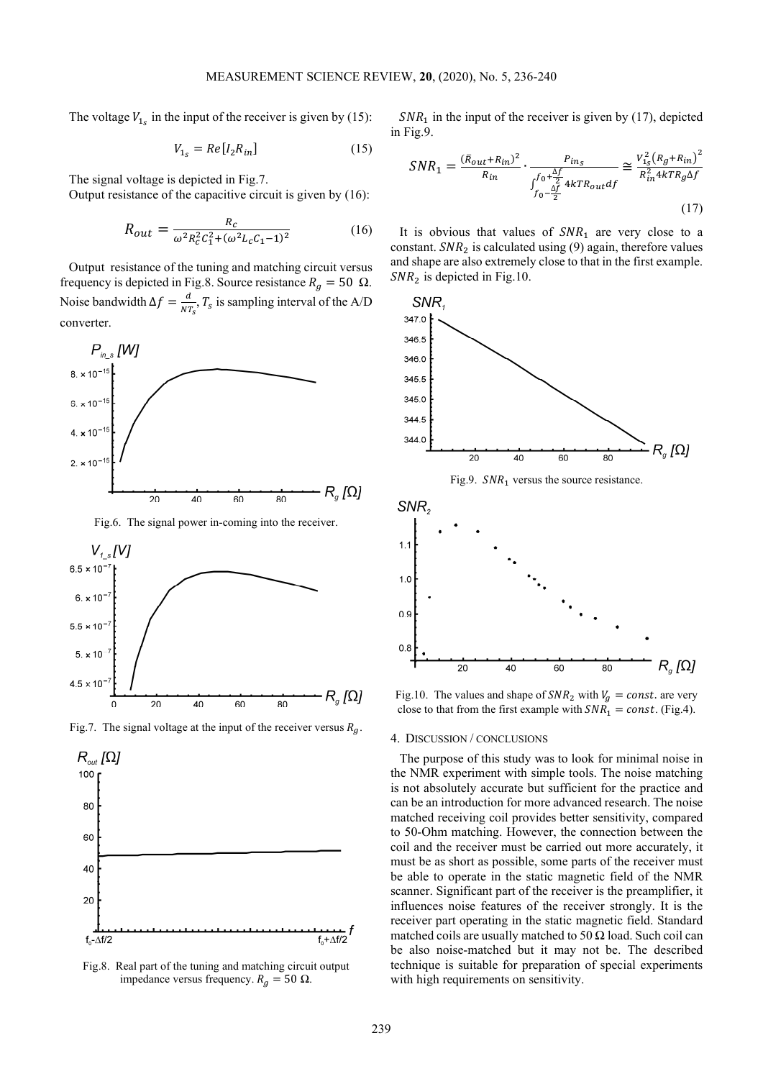The voltage  $V_{1_s}$  in the input of the receiver is given by (15):

$$
V_{1s} = Re[I2Rin] \t(15)
$$

The signal voltage is depicted in Fig.7.

Output resistance of the capacitive circuit is given by (16):

$$
R_{out} = \frac{R_c}{\omega^2 R_c^2 C_1^2 + (\omega^2 L_c C_1 - 1)^2}
$$
 (16)

Output resistance of the tuning and matching circuit versus frequency is depicted in Fig.8. Source resistance  $R_g = 50 \Omega$ . Noise bandwidth  $\Delta f = \frac{d}{NT_s}T_s$  is sampling interval of the A/D converter



Fig.6. The signal power in-coming into the receiver.







Fig.8. Real part of the tuning and matching circuit output impedance versus frequency.  $R_g = 50$  Ω.

 $SNR<sub>1</sub>$  in the input of the receiver is given by (17), depicted in Fig.9.

$$
SNR_1 = \frac{(\bar{R}_{out} + R_{in})^2}{R_{in}} \cdot \frac{P_{in_S}}{\int_{f_0 - \frac{\Delta f}{2}}^{f_0 + \frac{\Delta f}{2}} 4kTR_{out} df} \approx \frac{V_{1_S}^2 (R_g + R_{in})^2}{R_{in}^2 4kTR_g \Delta f}
$$
(17)

It is obvious that values of  $SNR<sub>1</sub>$  are very close to a constant.  $SNR_2$  is calculated using (9) again, therefore values and shape are also extremely close to that in the first example.  $SNR_2$  is depicted in Fig.10.



Fig.10. The values and shape of  $SNR_2$  with  $V_g = const$ . are very close to that from the first example with  $SNR_1 = const.$  (Fig.4).

#### 4. DISCUSSION / CONCLUSIONS

The purpose of this study was to look for minimal noise in the NMR experiment with simple tools. The noise matching is not absolutely accurate but sufficient for the practice and can be an introduction for more advanced research. The noise matched receiving coil provides better sensitivity, compared to 50-Ohm matching. However, the connection between the coil and the receiver must be carried out more accurately, it must be as short as possible, some parts of the receiver must be able to operate in the static magnetic field of the NMR scanner. Significant part of the receiver is the preamplifier, it influences noise features of the receiver strongly. It is the receiver part operating in the static magnetic field. Standard matched coils are usually matched to 50  $\Omega$  load. Such coil can be also noise-matched but it may not be. The described technique is suitable for preparation of special experiments with high requirements on sensitivity.